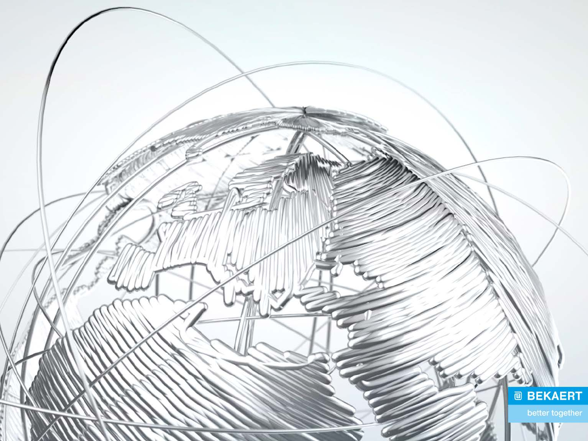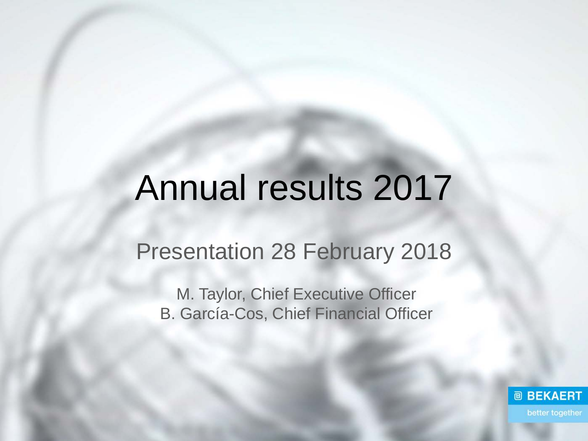# Annual results 2017

## Presentation 28 February 2018

M. Taylor, Chief Executive Officer B. García-Cos, Chief Financial Officer

> **@ BEKAERT** better together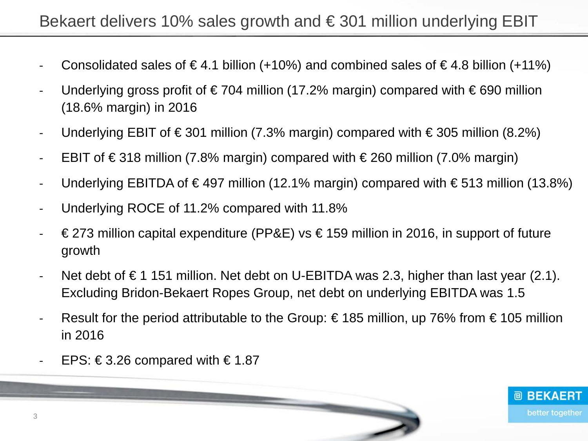- Consolidated sales of  $\in$  4.1 billion (+10%) and combined sales of  $\in$  4.8 billion (+11%)
- Underlying gross profit of €704 million (17.2% margin) compared with €690 million (18.6% margin) in 2016
- Underlying EBIT of €301 million (7.3% margin) compared with  $\in$ 305 million (8.2%)
- EBIT of  $\in$  318 million (7.8% margin) compared with  $\in$  260 million (7.0% margin)
- Underlying EBITDA of €497 million (12.1% margin) compared with €513 million (13.8%)
- Underlying ROCE of 11.2% compared with 11.8%
- $€273$  million capital expenditure (PP&E) vs  $€159$  million in 2016, in support of future growth
- Net debt of  $\epsilon$  1 151 million. Net debt on U-EBITDA was 2.3, higher than last year (2.1). Excluding Bridon-Bekaert Ropes Group, net debt on underlying EBITDA was 1.5
- Result for the period attributable to the Group: €185 million, up 76% from €105 million in 2016

<u>and the state of the contract of the contract of the contract of the contract of the contract of the contract of the contract of the contract of the contract of the contract of the contract of the contract of the contract</u>

**@ BEKAERT** 

better together

EPS:  $\in$  3.26 compared with  $\in$  1.87

3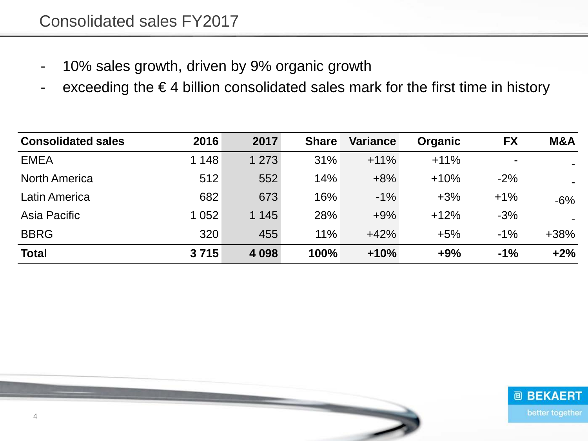- 10% sales growth, driven by 9% organic growth
- exceeding the €4 billion consolidated sales mark for the first time in history

| <b>Consolidated sales</b> | 2016    | 2017    | <b>Share</b> | <b>Variance</b> | <b>Organic</b> | <b>FX</b>      | M&A    |
|---------------------------|---------|---------|--------------|-----------------|----------------|----------------|--------|
| <b>EMEA</b>               | 1 148   | 1 2 7 3 | 31%          | $+11%$          | $+11%$         | $\blacksquare$ |        |
| <b>North America</b>      | 512     | 552     | 14%          | $+8%$           | $+10%$         | $-2%$          |        |
| Latin America             | 682     | 673     | 16%          | $-1\%$          | $+3%$          | $+1\%$         | $-6\%$ |
| Asia Pacific              | 1 0 5 2 | 1 1 4 5 | 28%          | $+9%$           | $+12%$         | $-3%$          |        |
| <b>BBRG</b>               | 320     | 455     | 11%          | $+42%$          | $+5%$          | $-1\%$         | $+38%$ |
| <b>Total</b>              | 3715    | 4 0 98  | 100%         | $+10%$          | $+9%$          | $-1%$          | $+2%$  |

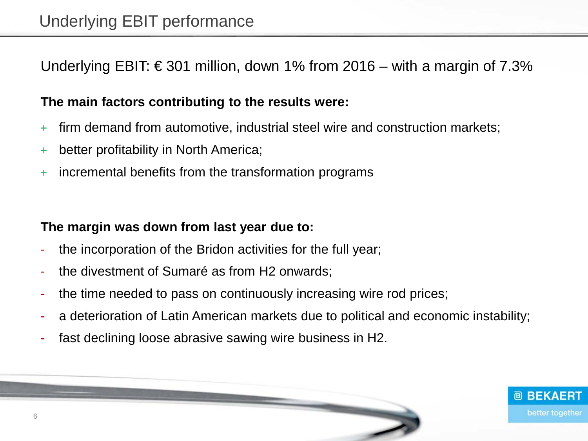Underlying EBIT: €301 million, down 1% from 2016 – with a margin of 7.3%

#### **The main factors contributing to the results were:**

- + firm demand from automotive, industrial steel wire and construction markets;
- + better profitability in North America;
- + incremental benefits from the transformation programs

#### **The margin was down from last year due to:**

- the incorporation of the Bridon activities for the full year;
- the divestment of Sumaré as from H2 onwards;
- the time needed to pass on continuously increasing wire rod prices;
- a deterioration of Latin American markets due to political and economic instability;
- fast declining loose abrasive sawing wire business in H2.

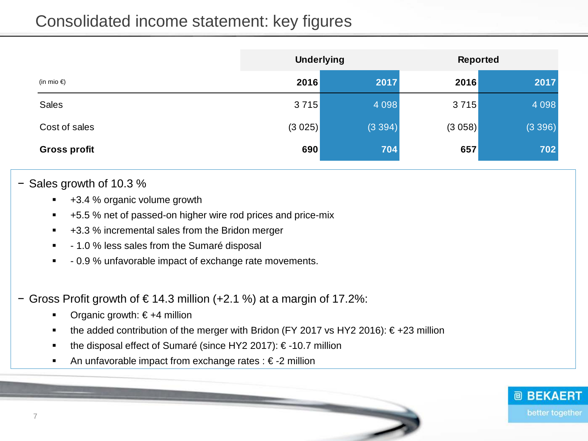#### Consolidated income statement: key figures

|                      | <b>Underlying</b> |         | <b>Reported</b> |         |
|----------------------|-------------------|---------|-----------------|---------|
| (in mio $\epsilon$ ) | 2016              | 2017    | 2016            | 2017    |
| <b>Sales</b>         | 3715              | 4 0 9 8 | 3715            | 4 0 9 8 |
| Cost of sales        | (3025)            | (3394)  | (3058)          | (3396)  |
| <b>Gross profit</b>  | 690               | 704     | 657             | 702     |

#### − Sales growth of 10.3 %

- +3.4 % organic volume growth
- +5.5 % net of passed-on higher wire rod prices and price-mix
- +3.3 % incremental sales from the Bridon merger
- 1.0 % less sales from the Sumaré disposal
- 0.9 % unfavorable impact of exchange rate movements.
- − Gross Profit growth of € 14.3 million (+2.1 %) at a margin of 17.2%:
	- Organic growth: € +4 million
	- the added contribution of the merger with Bridon (FY 2017 vs HY2 2016):  $\epsilon$ +23 million
	- the disposal effect of Sumaré (since HY2 2017): € -10.7 million
	- An unfavorable impact from exchange rates : € -2 million

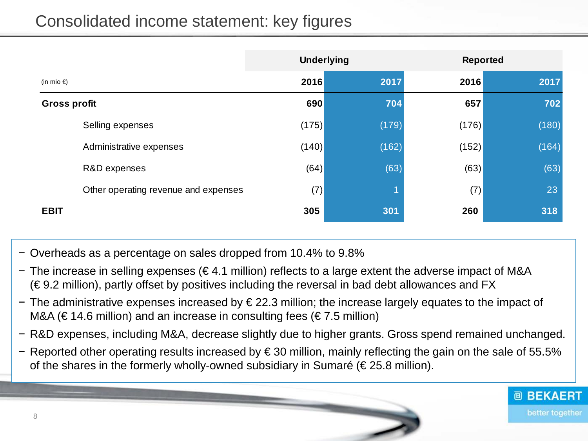## Consolidated income statement: key figures

|                                      |       | <b>Underlying</b> |       | <b>Reported</b> |
|--------------------------------------|-------|-------------------|-------|-----------------|
| (in mio $\epsilon$ )                 | 2016  | 2017              | 2016  | 2017            |
| <b>Gross profit</b>                  | 690   | 704               | 657   | 702             |
| Selling expenses                     | (175) | (179)             | (176) | (180)           |
| Administrative expenses              | (140) | (162)             | (152) | (164)           |
| R&D expenses                         | (64)  | (63)              | (63)  | (63)            |
| Other operating revenue and expenses | (7)   |                   | (7)   | 23              |
| <b>EBIT</b>                          | 305   | 301               | 260   | 318             |

- − Overheads as a percentage on sales dropped from 10.4% to 9.8%
- − The increase in selling expenses (€ 4.1 million) reflects to a large extent the adverse impact of M&A  $(\epsilon$ 9.2 million), partly offset by positives including the reversal in bad debt allowances and FX
- − The administrative expenses increased by € 22.3 million; the increase largely equates to the impact of M&A ( $\in$  14.6 million) and an increase in consulting fees ( $\in$  7.5 million)
- − R&D expenses, including M&A, decrease slightly due to higher grants. Gross spend remained unchanged.
- − Reported other operating results increased by € 30 million, mainly reflecting the gain on the sale of 55.5% of the shares in the formerly wholly-owned subsidiary in Sumaré ( $\epsilon$  25.8 million).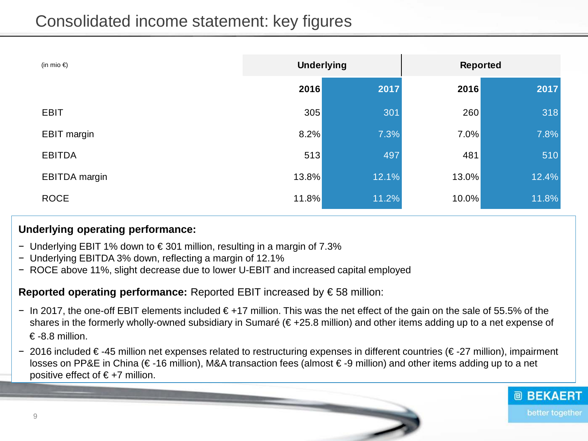#### Consolidated income statement: key figures

| (in mio $\epsilon$ ) | <b>Underlying</b> |       | <b>Reported</b> |       |
|----------------------|-------------------|-------|-----------------|-------|
|                      | 2016              | 2017  | 2016            | 2017  |
| <b>EBIT</b>          | 305               | 301   | 260             | 318   |
| <b>EBIT margin</b>   | 8.2%              | 7.3%  | 7.0%            | 7.8%  |
| <b>EBITDA</b>        | 513               | 497   | 481             | 510   |
| <b>EBITDA</b> margin | 13.8%             | 12.1% | 13.0%           | 12.4% |
| <b>ROCE</b>          | 11.8%             | 11.2% | 10.0%           | 11.8% |

#### **Underlying operating performance:**

- − Underlying EBIT 1% down to € 301 million, resulting in a margin of 7.3%
- − Underlying EBITDA 3% down, reflecting a margin of 12.1%
- − ROCE above 11%, slight decrease due to lower U-EBIT and increased capital employed

#### **Reported operating performance:** Reported EBIT increased by € 58 million:

- − In 2017, the one-off EBIT elements included € +17 million. This was the net effect of the gain on the sale of 55.5% of the shares in the formerly wholly-owned subsidiary in Sumaré (€+25.8 million) and other items adding up to a net expense of  $\in$  -8.8 million.
- − 2016 included € -45 million net expenses related to restructuring expenses in different countries (€ -27 million), impairment losses on PP&E in China (€ -16 million), M&A transaction fees (almost € -9 million) and other items adding up to a net positive effect of  $€+7$  million.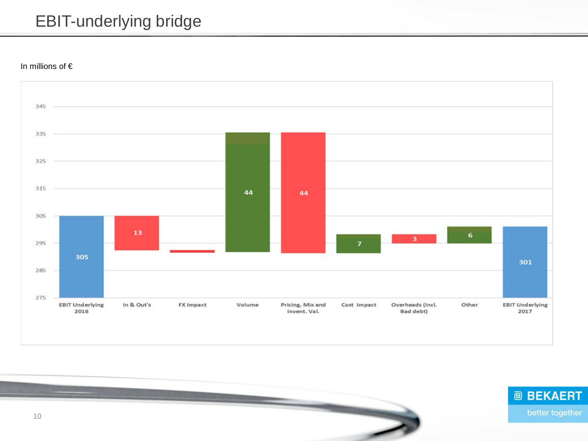#### EBIT-underlying bridge

In millions of €



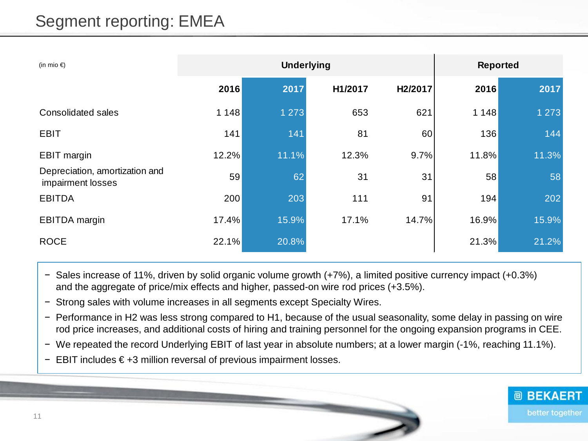| (in mio $\epsilon$ )                                | <b>Underlying</b> |         |         |         | <b>Reported</b> |         |  |
|-----------------------------------------------------|-------------------|---------|---------|---------|-----------------|---------|--|
|                                                     | 2016              | 2017    | H1/2017 | H2/2017 | 2016            | 2017    |  |
| Consolidated sales                                  | 1 1 4 8           | 1 2 7 3 | 653     | 621     | 1 1 4 8         | 1 2 7 3 |  |
| <b>EBIT</b>                                         | 141               | 141     | 81      | 60      | 136             | 144     |  |
| <b>EBIT</b> margin                                  | 12.2%             | 11.1%   | 12.3%   | 9.7%    | 11.8%           | 11.3%   |  |
| Depreciation, amortization and<br>impairment losses | 59                | 62      | 31      | 31      | 58              | 58      |  |
| <b>EBITDA</b>                                       | 200               | 203     | 111     | 91      | 194             | 202     |  |
| <b>EBITDA</b> margin                                | 17.4%             | 15.9%   | 17.1%   | 14.7%   | 16.9%           | 15.9%   |  |
| <b>ROCE</b>                                         | 22.1%             | 20.8%   |         |         | 21.3%           | 21.2%   |  |

- − Sales increase of 11%, driven by solid organic volume growth (+7%), a limited positive currency impact (+0.3%) and the aggregate of price/mix effects and higher, passed-on wire rod prices (+3.5%).
- − Strong sales with volume increases in all segments except Specialty Wires.
- − Performance in H2 was less strong compared to H1, because of the usual seasonality, some delay in passing on wire rod price increases, and additional costs of hiring and training personnel for the ongoing expansion programs in CEE.
- − We repeated the record Underlying EBIT of last year in absolute numbers; at a lower margin (-1%, reaching 11.1%).
- − EBIT includes € +3 million reversal of previous impairment losses.

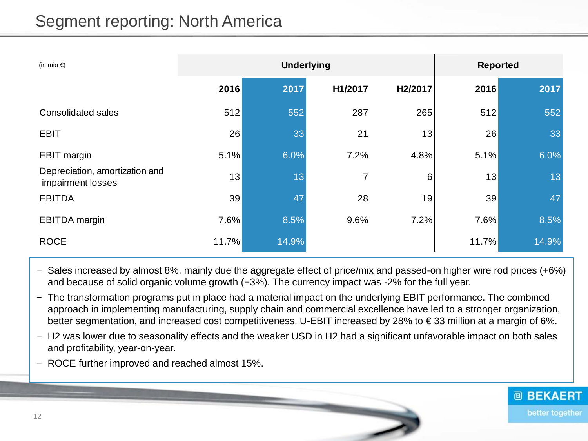#### Segment reporting: North America

| (in mio $\epsilon$ )                                | <b>Underlying</b> |       |         |         | <b>Reported</b> |       |  |
|-----------------------------------------------------|-------------------|-------|---------|---------|-----------------|-------|--|
|                                                     | 2016              | 2017  | H1/2017 | H2/2017 | 2016            | 2017  |  |
| <b>Consolidated sales</b>                           | 512               | 552   | 287     | 265     | 512             | 552   |  |
| <b>EBIT</b>                                         | 26                | 33    | 21      | 13      | 26              | 33    |  |
| <b>EBIT</b> margin                                  | 5.1%              | 6.0%  | 7.2%    | 4.8%    | 5.1%            | 6.0%  |  |
| Depreciation, amortization and<br>impairment losses | 13                | 13    | 7       | 6       | 13              | 13    |  |
| <b>EBITDA</b>                                       | 39                | 47    | 28      | 19      | 39              | 47    |  |
| <b>EBITDA</b> margin                                | 7.6%              | 8.5%  | 9.6%    | 7.2%    | 7.6%            | 8.5%  |  |
| <b>ROCE</b>                                         | 11.7%             | 14.9% |         |         | 11.7%           | 14.9% |  |

- − Sales increased by almost 8%, mainly due the aggregate effect of price/mix and passed-on higher wire rod prices (+6%) and because of solid organic volume growth (+3%). The currency impact was -2% for the full year.
- − The transformation programs put in place had a material impact on the underlying EBIT performance. The combined approach in implementing manufacturing, supply chain and commercial excellence have led to a stronger organization, better segmentation, and increased cost competitiveness. U-EBIT increased by 28% to € 33 million at a margin of 6%.
- − H2 was lower due to seasonality effects and the weaker USD in H2 had a significant unfavorable impact on both sales and profitability, year-on-year.
- − ROCE further improved and reached almost 15%.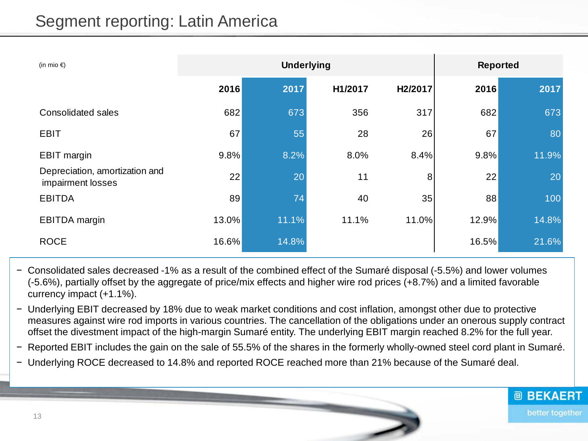#### Segment reporting: Latin America

| (in mio $\bigoplus$                                 | <b>Underlying</b> |       |         |         | <b>Reported</b> |       |  |
|-----------------------------------------------------|-------------------|-------|---------|---------|-----------------|-------|--|
|                                                     | 2016              | 2017  | H1/2017 | H2/2017 | 2016            | 2017  |  |
| <b>Consolidated sales</b>                           | 682               | 673   | 356     | 317     | 682             | 673   |  |
| <b>EBIT</b>                                         | 67                | 55    | 28      | 26      | 67              | 80    |  |
| <b>EBIT</b> margin                                  | 9.8%              | 8.2%  | 8.0%    | 8.4%    | 9.8%            | 11.9% |  |
| Depreciation, amortization and<br>impairment losses | 22                | 20    | 11      | 8       | 22              | 20    |  |
| <b>EBITDA</b>                                       | 89                | 74    | 40      | 35      | 88              | 100   |  |
| <b>EBITDA</b> margin                                | 13.0%             | 11.1% | 11.1%   | 11.0%   | 12.9%           | 14.8% |  |
| <b>ROCE</b>                                         | 16.6%             | 14.8% |         |         | 16.5%           | 21.6% |  |

- − Consolidated sales decreased -1% as a result of the combined effect of the Sumaré disposal (-5.5%) and lower volumes (-5.6%), partially offset by the aggregate of price/mix effects and higher wire rod prices (+8.7%) and a limited favorable currency impact (+1.1%).
- − Underlying EBIT decreased by 18% due to weak market conditions and cost inflation, amongst other due to protective measures against wire rod imports in various countries. The cancellation of the obligations under an onerous supply contract offset the divestment impact of the high-margin Sumaré entity. The underlying EBIT margin reached 8.2% for the full year.
- − Reported EBIT includes the gain on the sale of 55.5% of the shares in the formerly wholly-owned steel cord plant in Sumaré.
- − Underlying ROCE decreased to 14.8% and reported ROCE reached more than 21% because of the Sumaré deal.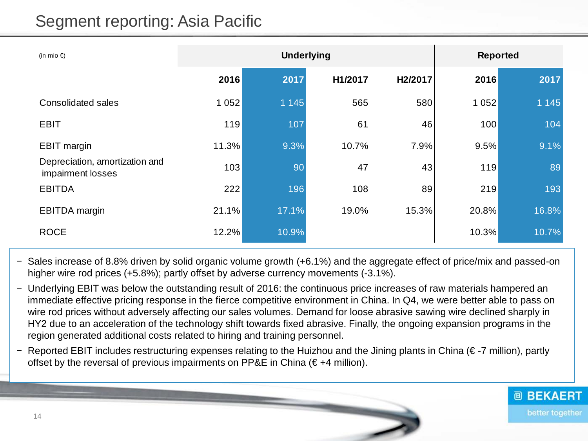## Segment reporting: Asia Pacific

| (in mio $\epsilon$ )                                |         | <b>Underlying</b> |         |                      |       | <b>Reported</b> |  |  |
|-----------------------------------------------------|---------|-------------------|---------|----------------------|-------|-----------------|--|--|
|                                                     | 2016    | 2017              | H1/2017 | H <sub>2</sub> /2017 | 2016  | 2017            |  |  |
| <b>Consolidated sales</b>                           | 1 0 5 2 | 1 1 4 5           | 565     | 580                  | 1052  | 1 1 4 5         |  |  |
| <b>EBIT</b>                                         | 119     | 107               | 61      | 46                   | 100   | 104             |  |  |
| <b>EBIT</b> margin                                  | 11.3%   | 9.3%              | 10.7%   | 7.9%                 | 9.5%  | 9.1%            |  |  |
| Depreciation, amortization and<br>impairment losses | 103     | 90                | 47      | 43                   | 119   | 89              |  |  |
| <b>EBITDA</b>                                       | 222     | 196               | 108     | 89                   | 219   | 193             |  |  |
| <b>EBITDA</b> margin                                | 21.1%   | 17.1%             | 19.0%   | 15.3%                | 20.8% | 16.8%           |  |  |
| <b>ROCE</b>                                         | 12.2%   | 10.9%             |         |                      | 10.3% | 10.7%           |  |  |

- − Sales increase of 8.8% driven by solid organic volume growth (+6.1%) and the aggregate effect of price/mix and passed-on higher wire rod prices (+5.8%); partly offset by adverse currency movements (-3.1%).
- − Underlying EBIT was below the outstanding result of 2016: the continuous price increases of raw materials hampered an immediate effective pricing response in the fierce competitive environment in China. In Q4, we were better able to pass on wire rod prices without adversely affecting our sales volumes. Demand for loose abrasive sawing wire declined sharply in HY2 due to an acceleration of the technology shift towards fixed abrasive. Finally, the ongoing expansion programs in the region generated additional costs related to hiring and training personnel.
- − Reported EBIT includes restructuring expenses relating to the Huizhou and the Jining plants in China (€ -7 million), partly offset by the reversal of previous impairments on PP&E in China  $(\epsilon + 4$  million).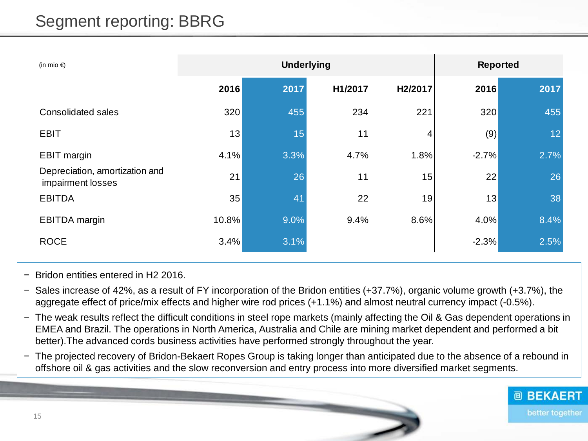## Segment reporting: BBRG

| (in mio $\epsilon$ )                                | <b>Underlying</b> |      |         |         | <b>Reported</b> |      |  |
|-----------------------------------------------------|-------------------|------|---------|---------|-----------------|------|--|
|                                                     | 2016              | 2017 | H1/2017 | H2/2017 | 2016            | 2017 |  |
| <b>Consolidated sales</b>                           | 320               | 455  | 234     | 221     | 320             | 455  |  |
| <b>EBIT</b>                                         | 13                | 15   | 11      | 4       | (9)             | 12   |  |
| <b>EBIT</b> margin                                  | 4.1%              | 3.3% | 4.7%    | 1.8%    | $-2.7%$         | 2.7% |  |
| Depreciation, amortization and<br>impairment losses | 21                | 26   | 11      | 15      | 22              | 26   |  |
| <b>EBITDA</b>                                       | 35                | 41   | 22      | 19      | 13              | 38   |  |
| <b>EBITDA</b> margin                                | 10.8%             | 9.0% | 9.4%    | 8.6%    | 4.0%            | 8.4% |  |
| <b>ROCE</b>                                         | 3.4%              | 3.1% |         |         | $-2.3%$         | 2.5% |  |

- − Bridon entities entered in H2 2016.
- − Sales increase of 42%, as a result of FY incorporation of the Bridon entities (+37.7%), organic volume growth (+3.7%), the aggregate effect of price/mix effects and higher wire rod prices (+1.1%) and almost neutral currency impact (-0.5%).
- − The weak results reflect the difficult conditions in steel rope markets (mainly affecting the Oil & Gas dependent operations in EMEA and Brazil. The operations in North America, Australia and Chile are mining market dependent and performed a bit better).The advanced cords business activities have performed strongly throughout the year.
- − The projected recovery of Bridon-Bekaert Ropes Group is taking longer than anticipated due to the absence of a rebound in offshore oil & gas activities and the slow reconversion and entry process into more diversified market segments.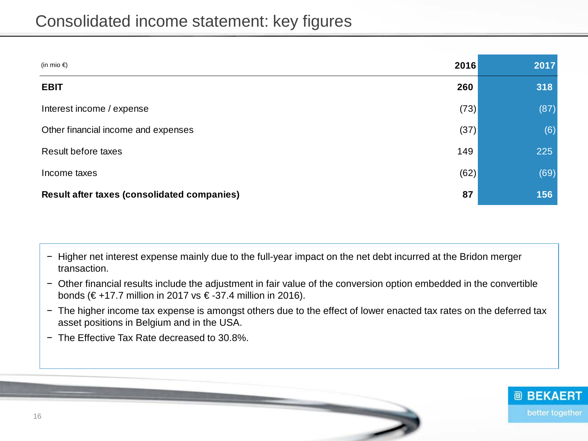| (in mio $\epsilon$ )                                     | 2016 | 2017 |
|----------------------------------------------------------|------|------|
| <b>EBIT</b>                                              | 260  | 318  |
| Interest income / expense                                | (73) | (87) |
| Other financial income and expenses                      | (37) | (6)  |
| <b>Result before taxes</b>                               | 149  | 225  |
| Income taxes                                             | (62) | (69) |
| 87<br><b>Result after taxes (consolidated companies)</b> |      | 156  |

− Higher net interest expense mainly due to the full-year impact on the net debt incurred at the Bridon merger transaction.

− Other financial results include the adjustment in fair value of the conversion option embedded in the convertible bonds (€+17.7 million in 2017 vs €-37.4 million in 2016).

- − The higher income tax expense is amongst others due to the effect of lower enacted tax rates on the deferred tax asset positions in Belgium and in the USA.
- − The Effective Tax Rate decreased to 30.8%.

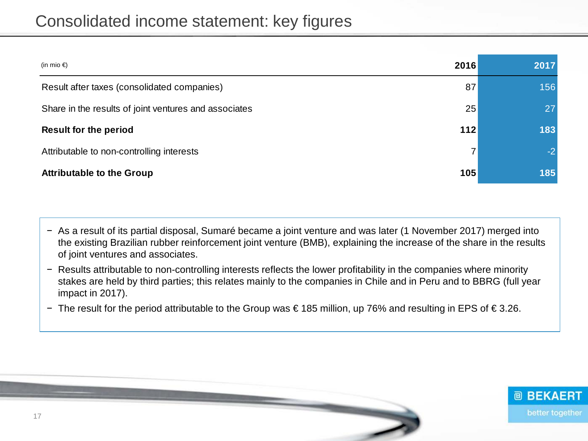| (in mio €)                                            | 2016 | 2017 |
|-------------------------------------------------------|------|------|
| Result after taxes (consolidated companies)           | 87   | 156  |
| Share in the results of joint ventures and associates | 25   | 27   |
| <b>Result for the period</b>                          | 112  | 183  |
| Attributable to non-controlling interests             | 7    | $-2$ |
| <b>Attributable to the Group</b>                      | 105  | 185  |

- − As a result of its partial disposal, Sumaré became a joint venture and was later (1 November 2017) merged into the existing Brazilian rubber reinforcement joint venture (BMB), explaining the increase of the share in the results of joint ventures and associates.
- − Results attributable to non-controlling interests reflects the lower profitability in the companies where minority stakes are held by third parties; this relates mainly to the companies in Chile and in Peru and to BBRG (full year impact in 2017).
- − The result for the period attributable to the Group was € 185 million, up 76% and resulting in EPS of € 3.26.

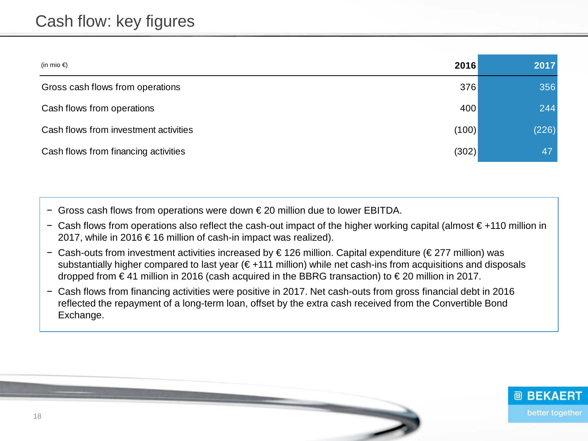#### Cash flow: key figures

| (in mio €)                            | 2016  | 2017  |
|---------------------------------------|-------|-------|
| Gross cash flows from operations      | 376   | 356   |
| Cash flows from operations            | 400   | 244   |
| Cash flows from investment activities | (100) | (226) |
| Cash flows from financing activities  | (302) | 47    |

− Gross cash flows from operations were down € 20 million due to lower EBITDA.

- − Cash flows from operations also reflect the cash-out impact of the higher working capital (almost € +110 million in 2017, while in 2016 € 16 million of cash-in impact was realized).
- − Cash-outs from investment activities increased by € 126 million. Capital expenditure (€ 277 million) was substantially higher compared to last year (€+111 million) while net cash-ins from acquisitions and disposals dropped from € 41 million in 2016 (cash acquired in the BBRG transaction) to € 20 million in 2017.
- − Cash flows from financing activities were positive in 2017. Net cash-outs from gross financial debt in 2016 reflected the repayment of a long-term loan, offset by the extra cash received from the Convertible Bond Exchange.

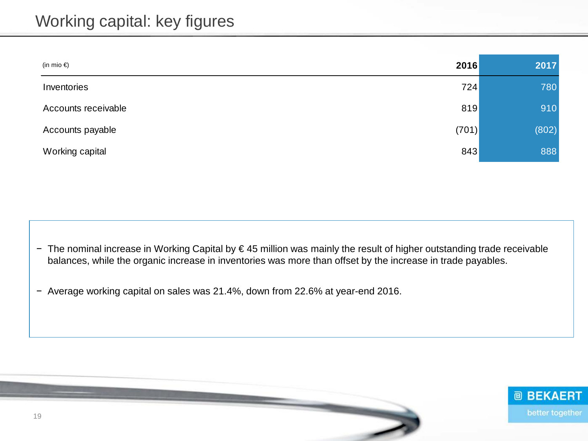| (in mio $\epsilon$ ) | 2016  | 2017  |
|----------------------|-------|-------|
| Inventories          | 724   | 780   |
| Accounts receivable  | 819   | 910   |
| Accounts payable     | (701) | (802) |
| Working capital      | 843   | 888   |

− The nominal increase in Working Capital by € 45 million was mainly the result of higher outstanding trade receivable balances, while the organic increase in inventories was more than offset by the increase in trade payables.

− Average working capital on sales was 21.4%, down from 22.6% at year-end 2016.

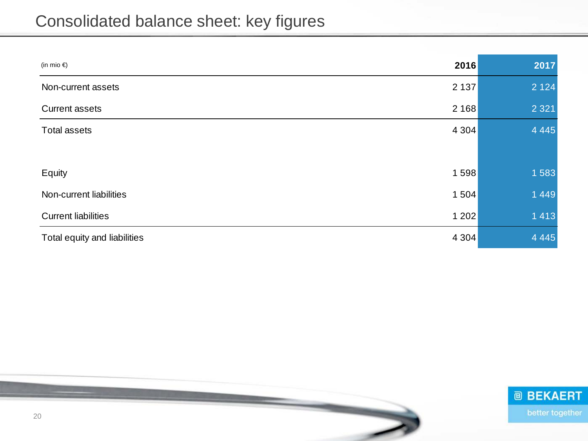## Consolidated balance sheet: key figures

| (in mio €)                              | 2016 | 2017    |
|-----------------------------------------|------|---------|
| 2 1 3 7<br>Non-current assets           |      | 2 1 2 4 |
| 2 1 6 8<br><b>Current assets</b>        |      | 2 3 2 1 |
| <b>Total assets</b><br>4 3 0 4          |      | 4 4 4 5 |
|                                         |      |         |
| 1598<br>Equity                          |      | 1583    |
| Non-current liabilities<br>1 504        |      | 1449    |
| <b>Current liabilities</b><br>1 202     |      | 1413    |
| 4 3 0 4<br>Total equity and liabilities |      | 4 4 4 5 |

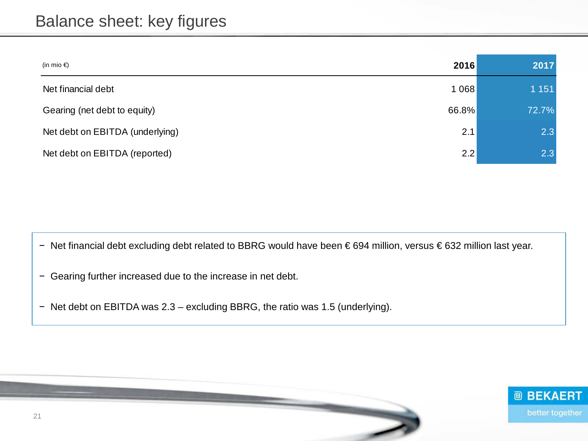#### Balance sheet: key figures

| (in mio €)                      | 2016  | 2017    |
|---------------------------------|-------|---------|
| Net financial debt              | 1068  | 1 1 5 1 |
| Gearing (net debt to equity)    | 66.8% | 72.7%   |
| Net debt on EBITDA (underlying) | 2.1   | 2.3     |
| Net debt on EBITDA (reported)   | 2.2   | 2.3     |

− Net financial debt excluding debt related to BBRG would have been € 694 million, versus € 632 million last year.

- − Gearing further increased due to the increase in net debt.
- − Net debt on EBITDA was 2.3 excluding BBRG, the ratio was 1.5 (underlying).

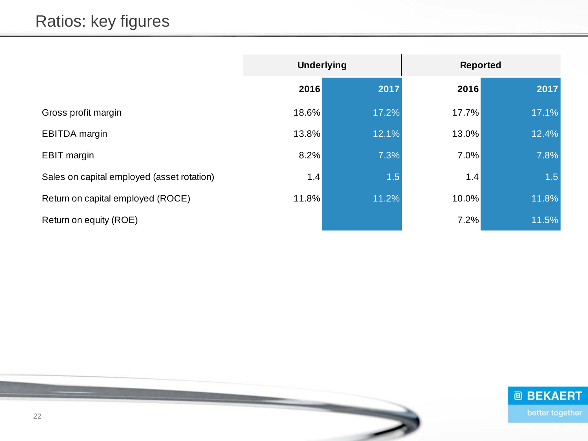|                                            | <b>Underlying</b> |       | <b>Reported</b> |       |
|--------------------------------------------|-------------------|-------|-----------------|-------|
|                                            | 2016              | 2017  | 2016            | 2017  |
| Gross profit margin                        | 18.6%             | 17.2% | 17.7%           | 17.1% |
| <b>EBITDA</b> margin                       | 13.8%             | 12.1% | 13.0%           | 12.4% |
| <b>EBIT</b> margin                         | 8.2%              | 7.3%  | 7.0%            | 7.8%  |
| Sales on capital employed (asset rotation) | 1.4               | 1.5   | 1.4             | 1.5   |
| Return on capital employed (ROCE)          | 11.8%             | 11.2% | 10.0%           | 11.8% |
| Return on equity (ROE)                     |                   |       | 7.2%            | 11.5% |

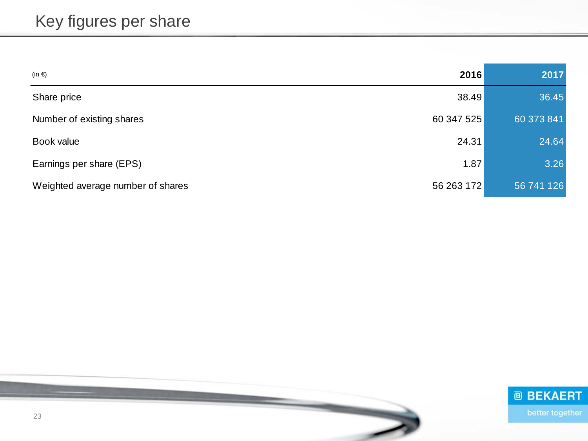| (in $\epsilon$ )                  | 2016       | 2017       |
|-----------------------------------|------------|------------|
| Share price                       | 38.49      | 36.45      |
| Number of existing shares         | 60 347 525 | 60 373 841 |
| Book value                        | 24.31      | 24.64      |
| Earnings per share (EPS)          | 1.87       | 3.26       |
| Weighted average number of shares | 56 263 172 | 56 741 126 |

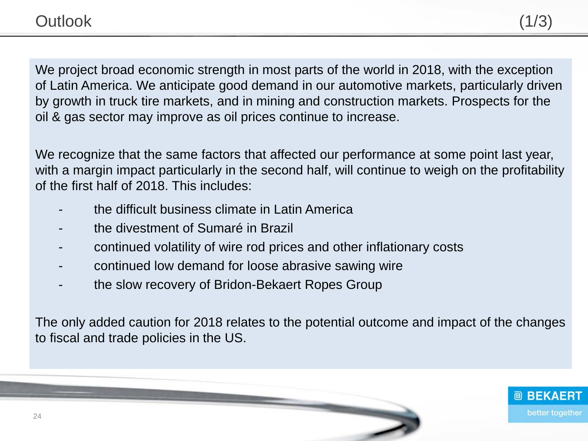We project broad economic strength in most parts of the world in 2018, with the exception of Latin America. We anticipate good demand in our automotive markets, particularly driven by growth in truck tire markets, and in mining and construction markets. Prospects for the oil & gas sector may improve as oil prices continue to increase.

We recognize that the same factors that affected our performance at some point last year, with a margin impact particularly in the second half, will continue to weigh on the profitability of the first half of 2018. This includes:

- the difficult business climate in Latin America
- the divestment of Sumaré in Brazil
- continued volatility of wire rod prices and other inflationary costs
- continued low demand for loose abrasive sawing wire
- the slow recovery of Bridon-Bekaert Ropes Group

The only added caution for 2018 relates to the potential outcome and impact of the changes to fiscal and trade policies in the US.

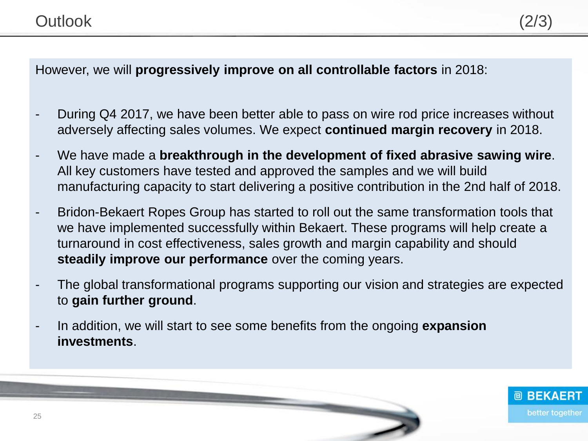However, we will **progressively improve on all controllable factors** in 2018:

- During Q4 2017, we have been better able to pass on wire rod price increases without adversely affecting sales volumes. We expect **continued margin recovery** in 2018.
- We have made a **breakthrough in the development of fixed abrasive sawing wire**. All key customers have tested and approved the samples and we will build manufacturing capacity to start delivering a positive contribution in the 2nd half of 2018.
- Bridon-Bekaert Ropes Group has started to roll out the same transformation tools that we have implemented successfully within Bekaert. These programs will help create a turnaround in cost effectiveness, sales growth and margin capability and should **steadily improve our performance** over the coming years.
- The global transformational programs supporting our vision and strategies are expected to **gain further ground**.
- In addition, we will start to see some benefits from the ongoing **expansion investments**.

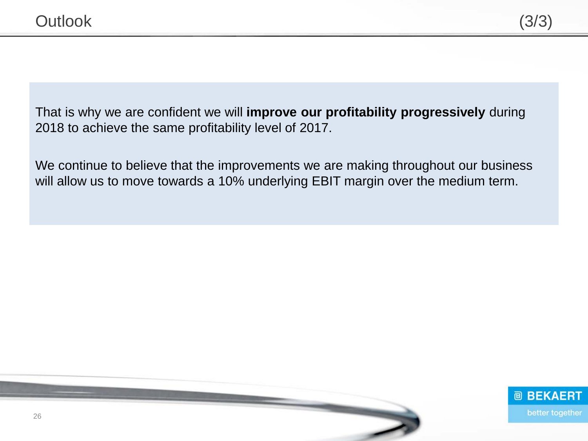That is why we are confident we will **improve our profitability progressively** during 2018 to achieve the same profitability level of 2017.

We continue to believe that the improvements we are making throughout our business will allow us to move towards a 10% underlying EBIT margin over the medium term.

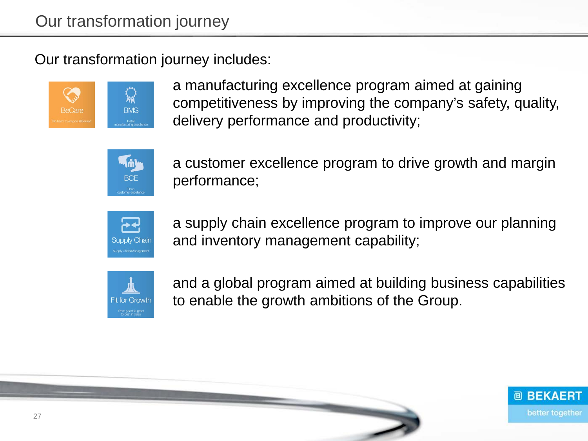Our transformation journey includes:



a manufacturing excellence program aimed at gaining competitiveness by improving the company's safety, quality, delivery performance and productivity;



a customer excellence program to drive growth and margin performance;



a supply chain excellence program to improve our planning and inventory management capability;



and a global program aimed at building business capabilities to enable the growth ambitions of the Group.

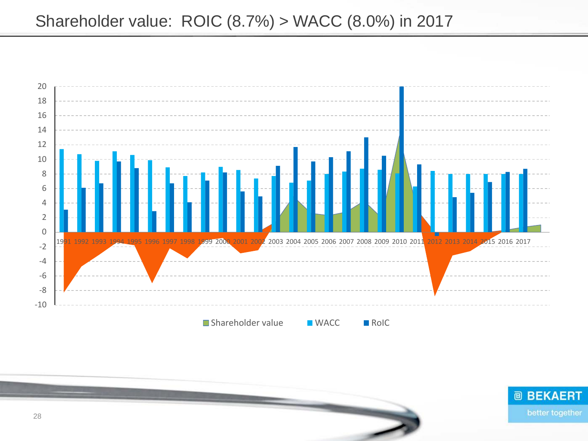

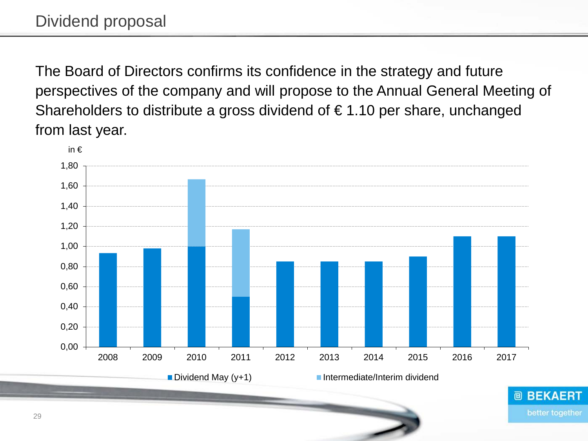The Board of Directors confirms its confidence in the strategy and future perspectives of the company and will propose to the Annual General Meeting of Shareholders to distribute a gross dividend of  $\epsilon$  1.10 per share, unchanged from last year.

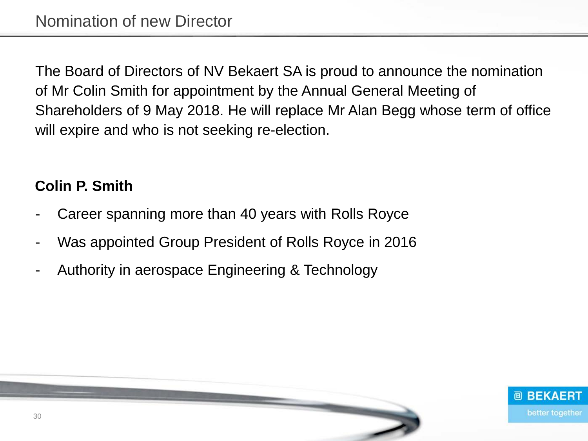The Board of Directors of NV Bekaert SA is proud to announce the nomination of Mr Colin Smith for appointment by the Annual General Meeting of Shareholders of 9 May 2018. He will replace Mr Alan Begg whose term of office will expire and who is not seeking re-election.

#### **Colin P. Smith**

- Career spanning more than 40 years with Rolls Royce
- Was appointed Group President of Rolls Royce in 2016
- Authority in aerospace Engineering & Technology